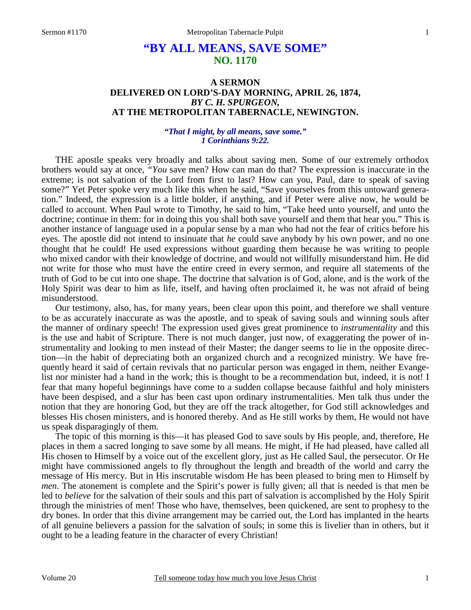# **"BY ALL MEANS, SAVE SOME" NO. 1170**

## **A SERMON DELIVERED ON LORD'S-DAY MORNING, APRIL 26, 1874,**  *BY C. H. SPURGEON,*  **AT THE METROPOLITAN TABERNACLE, NEWINGTON.**

#### *"That I might, by all means, save some." 1 Corinthians 9:22.*

THE apostle speaks very broadly and talks about saving men. Some of our extremely orthodox brothers would say at once, *"You* save men? How can man do that? The expression is inaccurate in the extreme; is not salvation of the Lord from first to last? How can you, Paul, dare to speak of saving some?" Yet Peter spoke very much like this when he said, "Save yourselves from this untoward generation." Indeed, the expression is a little bolder, if anything, and if Peter were alive now, he would be called to account. When Paul wrote to Timothy, he said to him, "Take heed unto yourself, and unto the doctrine; continue in them: for in doing this you shall both save yourself and them that hear you." This is another instance of language used in a popular sense by a man who had not the fear of critics before his eyes. The apostle did not intend to insinuate that *he* could save anybody by his own power, and no one thought that he could! He used expressions without guarding them because he was writing to people who mixed candor with their knowledge of doctrine, and would not willfully misunderstand him. He did not write for those who must have the entire creed in every sermon, and require all statements of the truth of God to be cut into one shape. The doctrine that salvation is of God, alone, and is the work of the Holy Spirit was dear to him as life, itself, and having often proclaimed it, he was not afraid of being misunderstood.

Our testimony, also, has, for many years, been clear upon this point, and therefore we shall venture to be as accurately inaccurate as was the apostle, and to speak of saving souls and winning souls after the manner of ordinary speech! The expression used gives great prominence to *instrumentality* and this is the use and habit of Scripture. There is not much danger, just now, of exaggerating the power of instrumentality and looking to men instead of their Master; the danger seems to lie in the opposite direction—in the habit of depreciating both an organized church and a recognized ministry. We have frequently heard it said of certain revivals that no particular person was engaged in them, neither Evangelist nor minister had a hand in the work; this is thought to be a recommendation but, indeed, it is not! I fear that many hopeful beginnings have come to a sudden collapse because faithful and holy ministers have been despised, and a slur has been cast upon ordinary instrumentalities. Men talk thus under the notion that they are honoring God, but they are off the track altogether, for God still acknowledges and blesses His chosen ministers, and is honored thereby. And as He still works by them, He would not have us speak disparagingly of them.

The topic of this morning is this—it has pleased God to save souls by His people, and, therefore, He places in them a sacred longing to save some by all means. He might, if He had pleased, have called all His chosen to Himself by a voice out of the excellent glory, just as He called Saul, the persecutor. Or He might have commissioned angels to fly throughout the length and breadth of the world and carry the message of His mercy. But in His inscrutable wisdom He has been pleased to bring men to Himself by *men*. The atonement is complete and the Spirit's power is fully given; all that is needed is that men be led to *believe* for the salvation of their souls and this part of salvation is accomplished by the Holy Spirit through the ministries of men! Those who have, themselves, been quickened, are sent to prophesy to the dry bones. In order that this divine arrangement may be carried out, the Lord has implanted in the hearts of all genuine believers a passion for the salvation of souls; in some this is livelier than in others, but it ought to be a leading feature in the character of every Christian!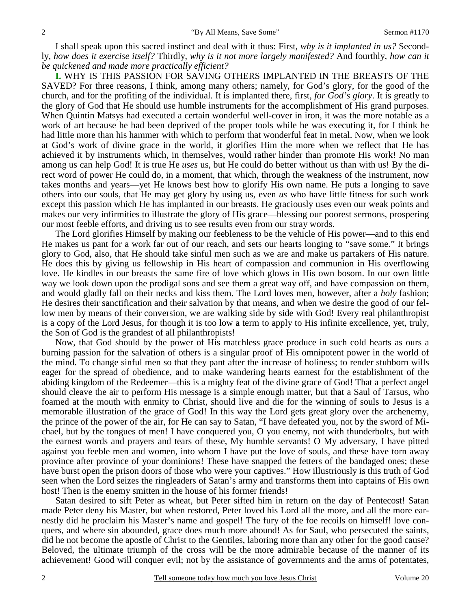I shall speak upon this sacred instinct and deal with it thus: First, *why is it implanted in us?* Secondly, *how does it exercise itself?* Thirdly, *why is it not more largely manifested?* And fourthly, *how can it be quickened and made more practically efficient?*

**I.** WHY IS THIS PASSION FOR SAVING OTHERS IMPLANTED IN THE BREASTS OF THE SAVED? For three reasons, I think, among many others; namely, for God's glory, for the good of the church, and for the profiting of the individual. It is implanted there, first, *for God's glory*. It is greatly to the glory of God that He should use humble instruments for the accomplishment of His grand purposes. When Quintin Matsys had executed a certain wonderful well-cover in iron, it was the more notable as a work of art because he had been deprived of the proper tools while he was executing it, for I think he had little more than his hammer with which to perform that wonderful feat in metal. Now, when we look at God's work of divine grace in the world, it glorifies Him the more when we reflect that He has achieved it by instruments which, in themselves, would rather hinder than promote His work! No man among us can help God! It is true He *uses* us, but He could do better without us than with us! By the direct word of power He could do, in a moment, that which, through the weakness of the instrument, now takes months and years—yet He knows best how to glorify His own name. He puts a longing to save others into our souls, that He may get glory by using us, even *us* who have little fitness for such work except this passion which He has implanted in our breasts. He graciously uses even our weak points and makes our very infirmities to illustrate the glory of His grace—blessing our poorest sermons, prospering our most feeble efforts, and driving us to see results even from our stray words.

The Lord glorifies Himself by making our feebleness to be the vehicle of His power—and to this end He makes us pant for a work far out of our reach, and sets our hearts longing to "save some." It brings glory to God, also, that He should take sinful men such as we are and make us partakers of His nature. He does this by giving us fellowship in His heart of compassion and communion in His overflowing love. He kindles in our breasts the same fire of love which glows in His own bosom. In our own little way we look down upon the prodigal sons and see them a great way off, and have compassion on them, and would gladly fall on their necks and kiss them. The Lord loves men, however, after a *holy* fashion; He desires their sanctification and their salvation by that means, and when we desire the good of our fellow men by means of their conversion, we are walking side by side with God! Every real philanthropist is a copy of the Lord Jesus, for though it is too low a term to apply to His infinite excellence, yet, truly, the Son of God is the grandest of all philanthropists!

Now, that God should by the power of His matchless grace produce in such cold hearts as ours a burning passion for the salvation of others is a singular proof of His omnipotent power in the world of the mind. To change sinful men so that they pant after the increase of holiness; to render stubborn wills eager for the spread of obedience, and to make wandering hearts earnest for the establishment of the abiding kingdom of the Redeemer—this is a mighty feat of the divine grace of God! That a perfect angel should cleave the air to perform His message is a simple enough matter, but that a Saul of Tarsus, who foamed at the mouth with enmity to Christ, should live and die for the winning of souls to Jesus is a memorable illustration of the grace of God! In this way the Lord gets great glory over the archenemy, the prince of the power of the air, for He can say to Satan, "I have defeated you, not by the sword of Michael, but by the tongues of men! I have conquered you, O you enemy, not with thunderbolts, but with the earnest words and prayers and tears of these, My humble servants! O My adversary, I have pitted against you feeble men and women, into whom I have put the love of souls, and these have torn away province after province of your dominions! These have snapped the fetters of the bandaged ones; these have burst open the prison doors of those who were your captives." How illustriously is this truth of God seen when the Lord seizes the ringleaders of Satan's army and transforms them into captains of His own host! Then is the enemy smitten in the house of his former friends!

Satan desired to sift Peter as wheat, but Peter sifted him in return on the day of Pentecost! Satan made Peter deny his Master, but when restored, Peter loved his Lord all the more, and all the more earnestly did he proclaim his Master's name and gospel! The fury of the foe recoils on himself! love conquers, and where sin abounded, grace does much more abound! As for Saul, who persecuted the saints, did he not become the apostle of Christ to the Gentiles, laboring more than any other for the good cause? Beloved, the ultimate triumph of the cross will be the more admirable because of the manner of its achievement! Good will conquer evil; not by the assistance of governments and the arms of potentates,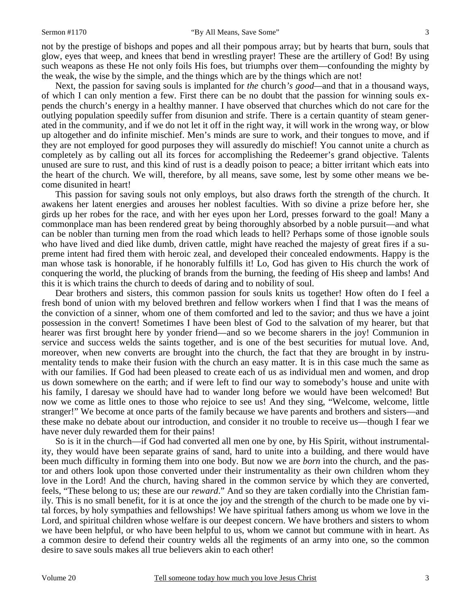not by the prestige of bishops and popes and all their pompous array; but by hearts that burn, souls that glow, eyes that weep, and knees that bend in wrestling prayer! These are the artillery of God! By using such weapons as these He not only foils His foes, but triumphs over them—confounding the mighty by the weak, the wise by the simple, and the things which are by the things which are not!

Next, the passion for saving souls is implanted for *the* church*'s good—*and that in a thousand ways, of which I can only mention a few. First there can be no doubt that the passion for winning souls expends the church's energy in a healthy manner. I have observed that churches which do not care for the outlying population speedily suffer from disunion and strife. There is a certain quantity of steam generated in the community, and if we do not let it off in the right way, it will work in the wrong way, or blow up altogether and do infinite mischief. Men's minds are sure to work, and their tongues to move, and if they are not employed for good purposes they will assuredly do mischief! You cannot unite a church as completely as by calling out all its forces for accomplishing the Redeemer's grand objective. Talents unused are sure to rust, and this kind of rust is a deadly poison to peace; a bitter irritant which eats into the heart of the church. We will, therefore, by all means, save some, lest by some other means we become disunited in heart!

This passion for saving souls not only employs, but also draws forth the strength of the church. It awakens her latent energies and arouses her noblest faculties. With so divine a prize before her, she girds up her robes for the race, and with her eyes upon her Lord, presses forward to the goal! Many a commonplace man has been rendered great by being thoroughly absorbed by a noble pursuit—and what can be nobler than turning men from the road which leads to hell? Perhaps some of those ignoble souls who have lived and died like dumb, driven cattle, might have reached the majesty of great fires if a supreme intent had fired them with heroic zeal, and developed their concealed endowments. Happy is the man whose task is honorable, if he honorably fulfills it! Lo, God has given to His church the work of conquering the world, the plucking of brands from the burning, the feeding of His sheep and lambs! And this it is which trains the church to deeds of daring and to nobility of soul.

Dear brothers and sisters, this common passion for souls knits us together! How often do I feel a fresh bond of union with my beloved brethren and fellow workers when I find that I was the means of the conviction of a sinner, whom one of them comforted and led to the savior; and thus we have a joint possession in the convert! Sometimes I have been blest of God to the salvation of my hearer, but that hearer was first brought here by yonder friend—and so we become sharers in the joy! Communion in service and success welds the saints together, and is one of the best securities for mutual love. And, moreover, when new converts are brought into the church, the fact that they are brought in by instrumentality tends to make their fusion with the church an easy matter. It is in this case much the same as with our families. If God had been pleased to create each of us as individual men and women, and drop us down somewhere on the earth; and if were left to find our way to somebody's house and unite with his family, I daresay we should have had to wander long before we would have been welcomed! But now we come as little ones to those who rejoice to see us! And they sing, "Welcome, welcome, little stranger!" We become at once parts of the family because we have parents and brothers and sisters—and these make no debate about our introduction, and consider it no trouble to receive us—though I fear we have never duly rewarded them for their pains!

So is it in the church—if God had converted all men one by one, by His Spirit, without instrumentality, they would have been separate grains of sand, hard to unite into a building, and there would have been much difficulty in forming them into one body. But now we are *born* into the church, and the pastor and others look upon those converted under their instrumentality as their own children whom they love in the Lord! And the church, having shared in the common service by which they are converted, feels, "These belong to us; these are our *reward*." And so they are taken cordially into the Christian family. This is no small benefit, for it is at once the joy and the strength of the church to be made one by vital forces, by holy sympathies and fellowships! We have spiritual fathers among us whom we love in the Lord, and spiritual children whose welfare is our deepest concern. We have brothers and sisters to whom we have been helpful, or who have been helpful to us, whom we cannot but commune with in heart. As a common desire to defend their country welds all the regiments of an army into one, so the common desire to save souls makes all true believers akin to each other!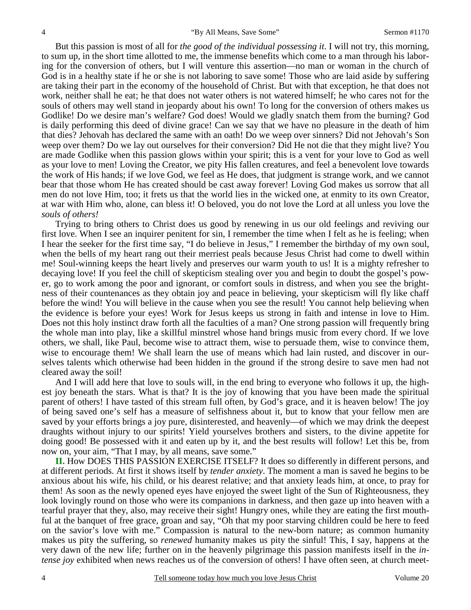But this passion is most of all for *the good of the individual possessing it*. I will not try, this morning, to sum up, in the short time allotted to me, the immense benefits which come to a man through his laboring for the conversion of others, but I will venture this assertion—no man or woman in the church of God is in a healthy state if he or she is not laboring to save some! Those who are laid aside by suffering are taking their part in the economy of the household of Christ. But with that exception, he that does not work, neither shall he eat; he that does not water others is not watered himself; he who cares not for the souls of others may well stand in jeopardy about his own! To long for the conversion of others makes us Godlike! Do we desire man's welfare? God does! Would we gladly snatch them from the burning? God is daily performing this deed of divine grace! Can we say that we have no pleasure in the death of him that dies? Jehovah has declared the same with an oath! Do we weep over sinners? Did not Jehovah's Son weep over them? Do we lay out ourselves for their conversion? Did He not die that they might live? You are made Godlike when this passion glows within your spirit; this is a vent for your love to God as well as your love to men! Loving the Creator, we pity His fallen creatures, and feel a benevolent love towards the work of His hands; if we love God, we feel as He does, that judgment is strange work, and we cannot bear that those whom He has created should be cast away forever! Loving God makes us sorrow that all men do not love Him, too; it frets us that the world lies in the wicked one, at enmity to its own Creator, at war with Him who, alone, can bless it! O beloved, you do not love the Lord at all unless you love the *souls of others!*

Trying to bring others to Christ does us good by renewing in us our old feelings and reviving our first love. When I see an inquirer penitent for sin, I remember the time when I felt as he is feeling; when I hear the seeker for the first time say, "I do believe in Jesus," I remember the birthday of my own soul, when the bells of my heart rang out their merriest peals because Jesus Christ had come to dwell within me! Soul-winning keeps the heart lively and preserves our warm youth to us! It is a mighty refresher to decaying love! If you feel the chill of skepticism stealing over you and begin to doubt the gospel's power, go to work among the poor and ignorant, or comfort souls in distress, and when you see the brightness of their countenances as they obtain joy and peace in believing, your skepticism will fly like chaff before the wind! You will believe in the cause when you see the result! You cannot help believing when the evidence is before your eyes! Work for Jesus keeps us strong in faith and intense in love to Him. Does not this holy instinct draw forth all the faculties of a man? One strong passion will frequently bring the whole man into play, like a skillful minstrel whose hand brings music from every chord. If we love others, we shall, like Paul, become wise to attract them, wise to persuade them, wise to convince them, wise to encourage them! We shall learn the use of means which had lain rusted, and discover in ourselves talents which otherwise had been hidden in the ground if the strong desire to save men had not cleared away the soil!

And I will add here that love to souls will, in the end bring to everyone who follows it up, the highest joy beneath the stars. What is that? It is the joy of knowing that you have been made the spiritual parent of others! I have tasted of this stream full often, by God's grace, and it is heaven below! The joy of being saved one's self has a measure of selfishness about it, but to know that your fellow men are saved by your efforts brings a joy pure, disinterested, and heavenly—of which we may drink the deepest draughts without injury to our spirits! Yield yourselves brothers and sisters, to the divine appetite for doing good! Be possessed with it and eaten up by it, and the best results will follow! Let this be, from now on, your aim, "That I may, by all means, save some."

**II.** How DOES THIS PASSION EXERCISE ITSELF? It does so differently in different persons, and at different periods. At first it shows itself by *tender anxiety*. The moment a man is saved he begins to be anxious about his wife, his child, or his dearest relative; and that anxiety leads him, at once, to pray for them! As soon as the newly opened eyes have enjoyed the sweet light of the Sun of Righteousness, they look lovingly round on those who were its companions in darkness, and then gaze up into heaven with a tearful prayer that they, also, may receive their sight! Hungry ones, while they are eating the first mouthful at the banquet of free grace, groan and say, "Oh that my poor starving children could be here to feed on the savior's love with me." Compassion is natural to the new-born nature; as common humanity makes us pity the suffering, so *renewed* humanity makes us pity the sinful! This, I say, happens at the very dawn of the new life; further on in the heavenly pilgrimage this passion manifests itself in the *intense joy exhibited when news reaches us of the conversion of others! I have often seen, at church meet-*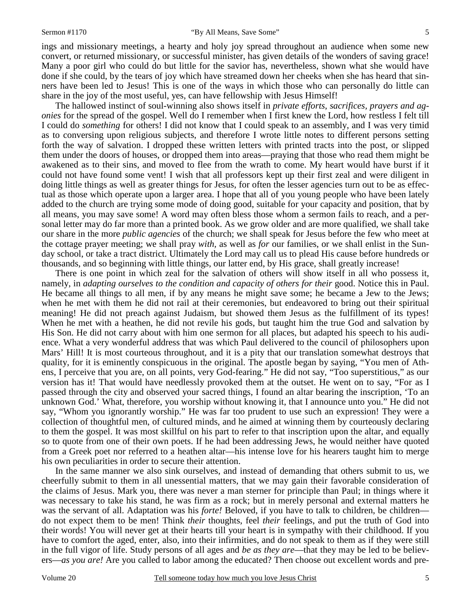ings and missionary meetings, a hearty and holy joy spread throughout an audience when some new convert, or returned missionary, or successful minister, has given details of the wonders of saving grace! Many a poor girl who could do but little for the savior has, nevertheless, shown what she would have done if she could, by the tears of joy which have streamed down her cheeks when she has heard that sinners have been led to Jesus! This is one of the ways in which those who can personally do little can share in the joy of the most useful, yes, can have fellowship with Jesus Himself!

The hallowed instinct of soul-winning also shows itself in *private efforts*, *sacrifices, prayers and agonies* for the spread of the gospel. Well do I remember when I first knew the Lord, how restless I felt till I could do *something* for others! I did not know that I could speak to an assembly, and I was very timid as to conversing upon religious subjects, and therefore I wrote little notes to different persons setting forth the way of salvation. I dropped these written letters with printed tracts into the post, or slipped them under the doors of houses, or dropped them into areas—praying that those who read them might be awakened as to their sins, and moved to flee from the wrath to come. My heart would have burst if it could not have found some vent! I wish that all professors kept up their first zeal and were diligent in doing little things as well as greater things for Jesus, for often the lesser agencies turn out to be as effectual as those which operate upon a larger area. I hope that all of you young people who have been lately added to the church are trying some mode of doing good, suitable for your capacity and position, that by all means, you may save some! A word may often bless those whom a sermon fails to reach, and a personal letter may do far more than a printed book. As we grow older and are more qualified, we shall take our share in the more *public agencies* of the church; we shall speak for Jesus before the few who meet at the cottage prayer meeting; we shall pray *with,* as well as *for* our families, or we shall enlist in the Sunday school, or take a tract district. Ultimately the Lord may call us to plead His cause before hundreds or thousands, and so beginning with little things, our latter end, by His grace, shall greatly increase!

There is one point in which zeal for the salvation of others will show itself in all who possess it, namely, in *adapting ourselves to the condition and capacity of others for their* good. Notice this in Paul. He became all things to all men, if by any means he might save some; he became a Jew to the Jews; when he met with them he did not rail at their ceremonies, but endeavored to bring out their spiritual meaning! He did not preach against Judaism, but showed them Jesus as the fulfillment of its types! When he met with a heathen, he did not revile his gods, but taught him the true God and salvation by His Son. He did not carry about with him one sermon for all places, but adapted his speech to his audience. What a very wonderful address that was which Paul delivered to the council of philosophers upon Mars' Hill! It is most courteous throughout, and it is a pity that our translation somewhat destroys that quality, for it is eminently conspicuous in the original. The apostle began by saying, "You men of Athens, I perceive that you are, on all points, very God-fearing." He did not say, "Too superstitious," as our version has it! That would have needlessly provoked them at the outset. He went on to say, "For as I passed through the city and observed your sacred things, I found an altar bearing the inscription, 'To an unknown God.' What, therefore, you worship without knowing it, that I announce unto you." He did not say, "Whom you ignorantly worship." He was far too prudent to use such an expression! They were a collection of thoughtful men, of cultured minds, and he aimed at winning them by courteously declaring to them the gospel. It was most skillful on his part to refer to that inscription upon the altar, and equally so to quote from one of their own poets. If he had been addressing Jews, he would neither have quoted from a Greek poet nor referred to a heathen altar—his intense love for his hearers taught him to merge his own peculiarities in order to secure their attention.

In the same manner we also sink ourselves, and instead of demanding that others submit to us, we cheerfully submit to them in all unessential matters, that we may gain their favorable consideration of the claims of Jesus. Mark you, there was never a man sterner for principle than Paul; in things where it was necessary to take his stand, he was firm as a rock; but in merely personal and external matters he was the servant of all. Adaptation was his *forte!* Beloved, if you have to talk to children, be children– do not expect them to be men! Think *their* thoughts, feel *their* feelings, and put the truth of God into their words! You will never get at their hearts till your heart is in sympathy with their childhood. If you have to comfort the aged, enter, also, into their infirmities, and do not speak to them as if they were still in the full vigor of life. Study persons of all ages and *be as they are*—that they may be led to be believers—*as you are!* Are you called to labor among the educated? Then choose out excellent words and pre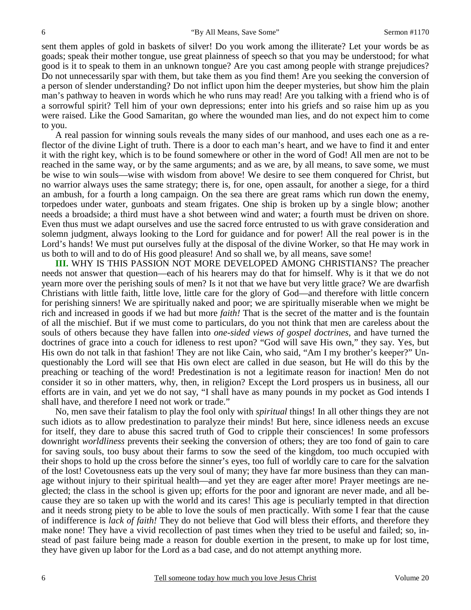sent them apples of gold in baskets of silver! Do you work among the illiterate? Let your words be as goads; speak their mother tongue, use great plainness of speech so that you may be understood; for what good is it to speak to them in an unknown tongue? Are you cast among people with strange prejudices? Do not unnecessarily spar with them, but take them as you find them! Are you seeking the conversion of a person of slender understanding? Do not inflict upon him the deeper mysteries, but show him the plain man's pathway to heaven in words which he who runs may read! Are you talking with a friend who is of a sorrowful spirit? Tell him of your own depressions; enter into his griefs and so raise him up as you were raised. Like the Good Samaritan, go where the wounded man lies, and do not expect him to come to you.

A real passion for winning souls reveals the many sides of our manhood, and uses each one as a reflector of the divine Light of truth. There is a door to each man's heart, and we have to find it and enter it with the right key, which is to be found somewhere or other in the word of God! All men are not to be reached in the same way, or by the same arguments; and as we are, by all means, to save some, we must be wise to win souls—wise with wisdom from above! We desire to see them conquered for Christ, but no warrior always uses the same strategy; there is, for one, open assault, for another a siege, for a third an ambush, for a fourth a long campaign. On the sea there are great rams which run down the enemy, torpedoes under water, gunboats and steam frigates. One ship is broken up by a single blow; another needs a broadside; a third must have a shot between wind and water; a fourth must be driven on shore. Even thus must we adapt ourselves and use the sacred force entrusted to us with grave consideration and solemn judgment, always looking to the Lord for guidance and for power! All the real power is in the Lord's hands! We must put ourselves fully at the disposal of the divine Worker, so that He may work in us both to will and to do of His good pleasure! And so shall we, by all means, save some!

**III.** WHY IS THIS PASSION NOT MORE DEVELOPED AMONG CHRISTIANS? The preacher needs not answer that question—each of his hearers may do that for himself. Why is it that we do not yearn more over the perishing souls of men? Is it not that we have but very little grace? We are dwarfish Christians with little faith, little love, little care for the glory of God—and therefore with little concern for perishing sinners! We are spiritually naked and poor; we are spiritually miserable when we might be rich and increased in goods if we had but more *faith!* That is the secret of the matter and is the fountain of all the mischief. But if we must come to particulars, do you not think that men are careless about the souls of others because they have fallen into *one-sided views of gospel doctrines,* and have turned the doctrines of grace into a couch for idleness to rest upon? "God will save His own," they say. Yes, but His own do not talk in that fashion! They are not like Cain, who said, "Am I my brother's keeper?" Unquestionably the Lord will see that His own elect are called in due season, but He will do this by the preaching or teaching of the word! Predestination is not a legitimate reason for inaction! Men do not consider it so in other matters, why, then, in religion? Except the Lord prospers us in business, all our efforts are in vain, and yet we do not say, "I shall have as many pounds in my pocket as God intends I shall have, and therefore I need not work or trade."

No, men save their fatalism to play the fool only with *spiritual* things! In all other things they are not such idiots as to allow predestination to paralyze their minds! But here, since idleness needs an excuse for itself, they dare to abuse this sacred truth of God to cripple their consciences! In some professors downright *worldliness* prevents their seeking the conversion of others; they are too fond of gain to care for saving souls, too busy about their farms to sow the seed of the kingdom, too much occupied with their shops to hold up the cross before the sinner's eyes, too full of worldly care to care for the salvation of the lost! Covetousness eats up the very soul of many; they have far more business than they can manage without injury to their spiritual health—and yet they are eager after more! Prayer meetings are neglected; the class in the school is given up; efforts for the poor and ignorant are never made, and all because they are so taken up with the world and its cares! This age is peculiarly tempted in that direction and it needs strong piety to be able to love the souls of men practically. With some I fear that the cause of indifference is *lack of faith!* They do not believe that God will bless their efforts, and therefore they make none! They have a vivid recollection of past times when they tried to be useful and failed; so, instead of past failure being made a reason for double exertion in the present, to make up for lost time, they have given up labor for the Lord as a bad case, and do not attempt anything more.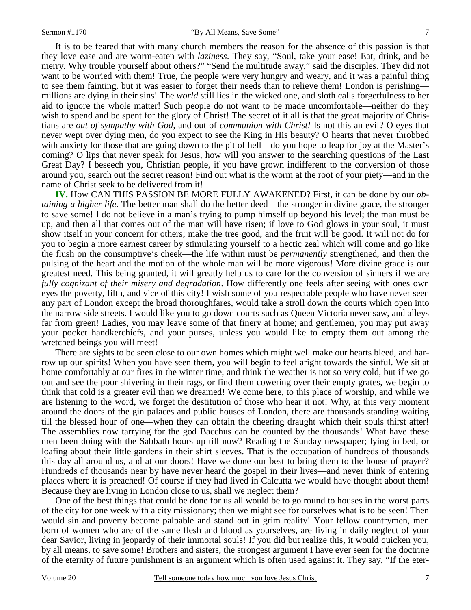7

It is to be feared that with many church members the reason for the absence of this passion is that they love ease and are worm-eaten with *laziness*. They say, "Soul, take your ease! Eat, drink, and be merry. Why trouble yourself about others?" "Send the multitude away," said the disciples. They did not want to be worried with them! True, the people were very hungry and weary, and it was a painful thing to see them fainting, but it was easier to forget their needs than to relieve them! London is perishing millions are dying in their sins! The *world* still lies in the wicked one, and sloth calls forgetfulness to her aid to ignore the whole matter! Such people do not want to be made uncomfortable—neither do they wish to spend and be spent for the glory of Christ! The secret of it all is that the great majority of Christians are *out of sympathy with God,* and out of *communion with Christ!* Is not this an evil? O eyes that never wept over dying men, do you expect to see the King in His beauty? O hearts that never throbbed with anxiety for those that are going down to the pit of hell—do you hope to leap for joy at the Master's coming? O lips that never speak for Jesus, how will you answer to the searching questions of the Last Great Day? I beseech you, Christian people, if you have grown indifferent to the conversion of those around you, search out the secret reason! Find out what is the worm at the root of your piety—and in the name of Christ seek to be delivered from it!

**IV.** How CAN THIS PASSION BE MORE FULLY AWAKENED? First, it can be done by our *obtaining a higher life*. The better man shall do the better deed—the stronger in divine grace, the stronger to save some! I do not believe in a man's trying to pump himself up beyond his level; the man must be up, and then all that comes out of the man will have risen; if love to God glows in your soul, it must show itself in your concern for others; make the tree good, and the fruit will be good. It will not do for you to begin a more earnest career by stimulating yourself to a hectic zeal which will come and go like the flush on the consumptive's cheek—the life within must be *permanently* strengthened, and then the pulsing of the heart and the motion of the whole man will be more vigorous! More divine grace is our greatest need. This being granted, it will greatly help us to care for the conversion of sinners if we are *fully cognizant of their misery and degradation*. How differently one feels after seeing with ones own eyes the poverty, filth, and vice of this city! I wish some of you respectable people who have never seen any part of London except the broad thoroughfares, would take a stroll down the courts which open into the narrow side streets. I would like you to go down courts such as Queen Victoria never saw, and alleys far from green! Ladies, you may leave some of that finery at home; and gentlemen, you may put away your pocket handkerchiefs, and your purses, unless you would like to empty them out among the wretched beings you will meet!

There are sights to be seen close to our own homes which might well make our hearts bleed, and harrow up our spirits! When you have seen them, you will begin to feel aright towards the sinful. We sit at home comfortably at our fires in the winter time, and think the weather is not so very cold, but if we go out and see the poor shivering in their rags, or find them cowering over their empty grates, we begin to think that cold is a greater evil than we dreamed! We come here, to this place of worship, and while we are listening to the word, we forget the destitution of those who hear it not! Why, at this very moment around the doors of the gin palaces and public houses of London, there are thousands standing waiting till the blessed hour of one—when they can obtain the cheering draught which their souls thirst after! The assemblies now tarrying for the god Bacchus can be counted by the thousands! What have these men been doing with the Sabbath hours up till now? Reading the Sunday newspaper; lying in bed, or loafing about their little gardens in their shirt sleeves. That is the occupation of hundreds of thousands this day all around us, and at our doors! Have we done our best to bring them to the house of prayer? Hundreds of thousands near by have never heard the gospel in their lives—and never think of entering places where it is preached! Of course if they had lived in Calcutta we would have thought about them! Because they are living in London close to us, shall we neglect them?

One of the best things that could be done for us all would be to go round to houses in the worst parts of the city for one week with a city missionary; then we might see for ourselves what is to be seen! Then would sin and poverty become palpable and stand out in grim reality! Your fellow countrymen, men born of women who are of the same flesh and blood as yourselves, are living in daily neglect of your dear Savior, living in jeopardy of their immortal souls! If you did but realize this, it would quicken you, by all means, to save some! Brothers and sisters, the strongest argument I have ever seen for the doctrine of the eternity of future punishment is an argument which is often used against it. They say, "If the eter